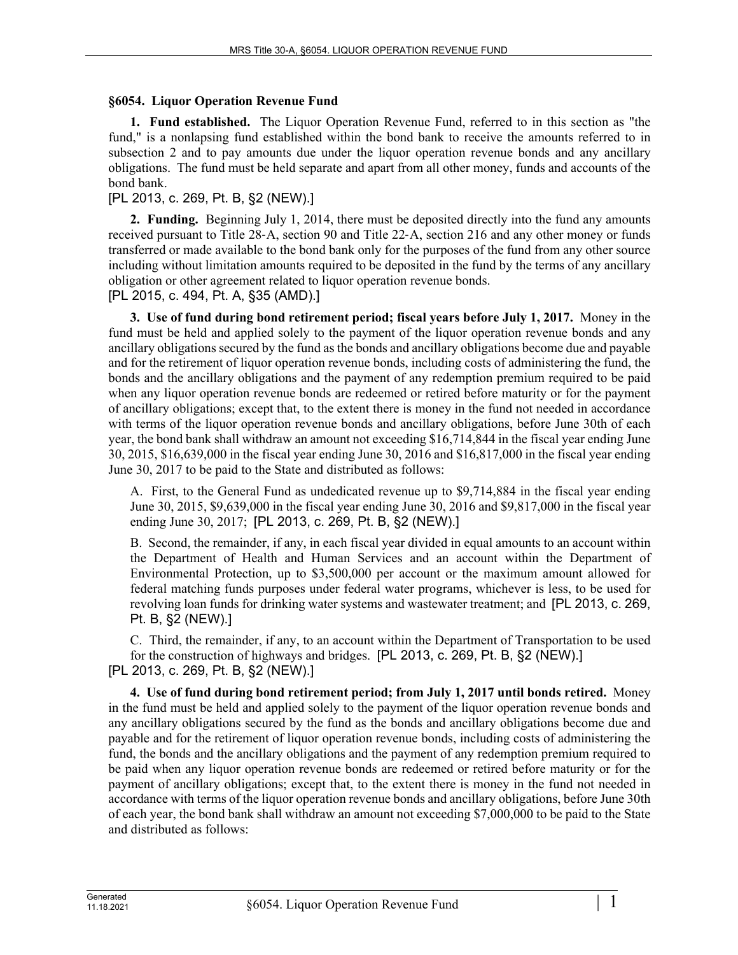## **§6054. Liquor Operation Revenue Fund**

**1. Fund established.** The Liquor Operation Revenue Fund, referred to in this section as "the fund," is a nonlapsing fund established within the bond bank to receive the amounts referred to in subsection 2 and to pay amounts due under the liquor operation revenue bonds and any ancillary obligations. The fund must be held separate and apart from all other money, funds and accounts of the bond bank.

## [PL 2013, c. 269, Pt. B, §2 (NEW).]

**2. Funding.** Beginning July 1, 2014, there must be deposited directly into the fund any amounts received pursuant to Title 28‑A, section 90 and Title 22‑A, section 216 and any other money or funds transferred or made available to the bond bank only for the purposes of the fund from any other source including without limitation amounts required to be deposited in the fund by the terms of any ancillary obligation or other agreement related to liquor operation revenue bonds.

[PL 2015, c. 494, Pt. A, §35 (AMD).]

**3. Use of fund during bond retirement period; fiscal years before July 1, 2017.** Money in the fund must be held and applied solely to the payment of the liquor operation revenue bonds and any ancillary obligations secured by the fund as the bonds and ancillary obligations become due and payable and for the retirement of liquor operation revenue bonds, including costs of administering the fund, the bonds and the ancillary obligations and the payment of any redemption premium required to be paid when any liquor operation revenue bonds are redeemed or retired before maturity or for the payment of ancillary obligations; except that, to the extent there is money in the fund not needed in accordance with terms of the liquor operation revenue bonds and ancillary obligations, before June 30th of each year, the bond bank shall withdraw an amount not exceeding \$16,714,844 in the fiscal year ending June 30, 2015, \$16,639,000 in the fiscal year ending June 30, 2016 and \$16,817,000 in the fiscal year ending June 30, 2017 to be paid to the State and distributed as follows:

A. First, to the General Fund as undedicated revenue up to \$9,714,884 in the fiscal year ending June 30, 2015, \$9,639,000 in the fiscal year ending June 30, 2016 and \$9,817,000 in the fiscal year ending June 30, 2017; [PL 2013, c. 269, Pt. B, §2 (NEW).]

B. Second, the remainder, if any, in each fiscal year divided in equal amounts to an account within the Department of Health and Human Services and an account within the Department of Environmental Protection, up to \$3,500,000 per account or the maximum amount allowed for federal matching funds purposes under federal water programs, whichever is less, to be used for revolving loan funds for drinking water systems and wastewater treatment; and [PL 2013, c. 269, Pt. B, §2 (NEW).]

C. Third, the remainder, if any, to an account within the Department of Transportation to be used for the construction of highways and bridges. [PL 2013, c. 269, Pt. B, §2 (NEW).] [PL 2013, c. 269, Pt. B, §2 (NEW).]

**4. Use of fund during bond retirement period; from July 1, 2017 until bonds retired.** Money in the fund must be held and applied solely to the payment of the liquor operation revenue bonds and any ancillary obligations secured by the fund as the bonds and ancillary obligations become due and payable and for the retirement of liquor operation revenue bonds, including costs of administering the fund, the bonds and the ancillary obligations and the payment of any redemption premium required to be paid when any liquor operation revenue bonds are redeemed or retired before maturity or for the payment of ancillary obligations; except that, to the extent there is money in the fund not needed in accordance with terms of the liquor operation revenue bonds and ancillary obligations, before June 30th of each year, the bond bank shall withdraw an amount not exceeding \$7,000,000 to be paid to the State and distributed as follows: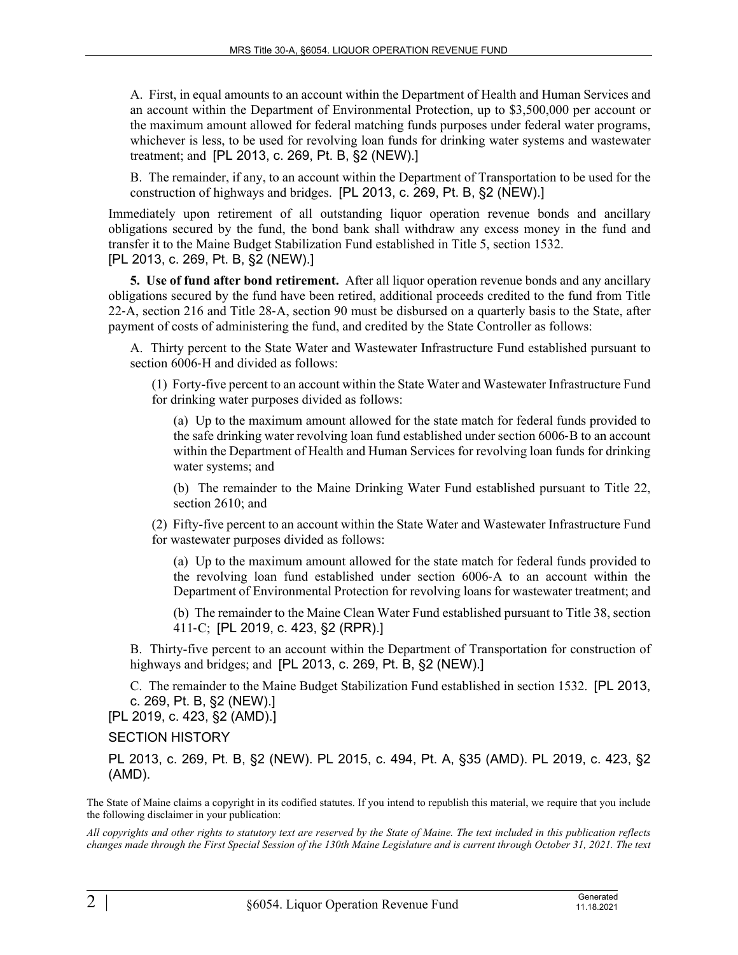A. First, in equal amounts to an account within the Department of Health and Human Services and an account within the Department of Environmental Protection, up to \$3,500,000 per account or the maximum amount allowed for federal matching funds purposes under federal water programs, whichever is less, to be used for revolving loan funds for drinking water systems and wastewater treatment; and [PL 2013, c. 269, Pt. B, §2 (NEW).]

B. The remainder, if any, to an account within the Department of Transportation to be used for the construction of highways and bridges. [PL 2013, c. 269, Pt. B, §2 (NEW).]

Immediately upon retirement of all outstanding liquor operation revenue bonds and ancillary obligations secured by the fund, the bond bank shall withdraw any excess money in the fund and transfer it to the Maine Budget Stabilization Fund established in Title 5, section 1532. [PL 2013, c. 269, Pt. B, §2 (NEW).]

**5. Use of fund after bond retirement.** After all liquor operation revenue bonds and any ancillary obligations secured by the fund have been retired, additional proceeds credited to the fund from Title 22‑A, section 216 and Title 28‑A, section 90 must be disbursed on a quarterly basis to the State, after payment of costs of administering the fund, and credited by the State Controller as follows:

A. Thirty percent to the State Water and Wastewater Infrastructure Fund established pursuant to section 6006-H and divided as follows:

(1) Forty-five percent to an account within the State Water and Wastewater Infrastructure Fund for drinking water purposes divided as follows:

(a) Up to the maximum amount allowed for the state match for federal funds provided to the safe drinking water revolving loan fund established under section 6006‑B to an account within the Department of Health and Human Services for revolving loan funds for drinking water systems; and

(b) The remainder to the Maine Drinking Water Fund established pursuant to Title 22, section 2610; and

(2) Fifty-five percent to an account within the State Water and Wastewater Infrastructure Fund for wastewater purposes divided as follows:

(a) Up to the maximum amount allowed for the state match for federal funds provided to the revolving loan fund established under section 6006‑A to an account within the Department of Environmental Protection for revolving loans for wastewater treatment; and

(b) The remainder to the Maine Clean Water Fund established pursuant to Title 38, section 411‑C; [PL 2019, c. 423, §2 (RPR).]

B. Thirty-five percent to an account within the Department of Transportation for construction of highways and bridges; and [PL 2013, c. 269, Pt. B, §2 (NEW).]

C. The remainder to the Maine Budget Stabilization Fund established in section 1532. [PL 2013, c. 269, Pt. B, §2 (NEW).]

[PL 2019, c. 423, §2 (AMD).]

SECTION HISTORY

PL 2013, c. 269, Pt. B, §2 (NEW). PL 2015, c. 494, Pt. A, §35 (AMD). PL 2019, c. 423, §2 (AMD).

The State of Maine claims a copyright in its codified statutes. If you intend to republish this material, we require that you include the following disclaimer in your publication:

*All copyrights and other rights to statutory text are reserved by the State of Maine. The text included in this publication reflects changes made through the First Special Session of the 130th Maine Legislature and is current through October 31, 2021. The text*